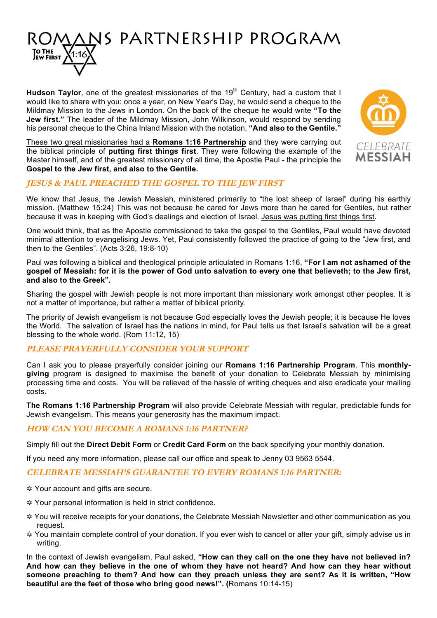

**Hudson Taylor**, one of the greatest missionaries of the 19<sup>th</sup> Century, had a custom that I would like to share with you: once a year, on New Year's Day, he would send a cheque to the Mildmay Mission to the Jews in London. On the back of the cheque he would write **"To the Jew first."** The leader of the Mildmay Mission, John Wilkinson, would respond by sending his personal cheque to the China Inland Mission with the notation, **"And also to the Gentile."**

These two great missionaries had a **Romans 1:16 Partnership** and they were carrying out the biblical principle of **putting first things first**. They were following the example of the Master himself, and of the greatest missionary of all time, the Apostle Paul - the principle the **Gospel to the Jew first, and also to the Gentile.**



## **JESUS & PAUL PREACHED THE GOSPEL TO THE JEW FIRST**

We know that Jesus, the Jewish Messiah, ministered primarily to "the lost sheep of Israel" during his earthly mission. (Matthew 15:24) This was not because he cared for Jews more than he cared for Gentiles, but rather because it was in keeping with God's dealings and election of Israel. Jesus was putting first things first.

One would think, that as the Apostle commissioned to take the gospel to the Gentiles, Paul would have devoted minimal attention to evangelising Jews. Yet, Paul consistently followed the practice of going to the "Jew first, and then to the Gentiles". (Acts 3:26, 19:8-10)

Paul was following a biblical and theological principle articulated in Romans 1:16, **"For I am not ashamed of the gospel of Messiah: for it is the power of God unto salvation to every one that believeth; to the Jew first, and also to the Greek".**

Sharing the gospel with Jewish people is not more important than missionary work amongst other peoples. It is not a matter of importance, but rather a matter of biblical priority.

The priority of Jewish evangelism is not because God especially loves the Jewish people; it is because He loves the World. The salvation of Israel has the nations in mind, for Paul tells us that Israel's salvation will be a great blessing to the whole world. (Rom 11:12, 15)

### **PLEASE PRAYERFULLY CONSIDER YOUR SUPPORT**

Can I ask you to please prayerfully consider joining our **Romans 1:16 Partnership Program**. This **monthlygiving** program is designed to maximise the benefit of your donation to Celebrate Messiah by minimising processing time and costs. You will be relieved of the hassle of writing cheques and also eradicate your mailing costs.

**The Romans 1:16 Partnership Program** will also provide Celebrate Messiah with regular, predictable funds for Jewish evangelism. This means your generosity has the maximum impact.

### **HOW CAN YOU BECOME A ROMANS 1:16 PARTNER?**

Simply fill out the **Direct Debit Form** or **Credit Card Form** on the back specifying your monthly donation.

If you need any more information, please call our office and speak to Jenny 03 9563 5544.

### **CELEBRATE MESSIAH'S GUARANTEE TO EVERY ROMANS 1:16 PARTNER:**

- Y Your account and gifts are secure.
- Y Your personal information is held in strict confidence.
- Y You will receive receipts for your donations, the Celebrate Messiah Newsletter and other communication as you request.
- Y You maintain complete control of your donation. If you ever wish to cancel or alter your gift, simply advise us in writing.

In the context of Jewish evangelism, Paul asked, **"How can they call on the one they have not believed in? And how can they believe in the one of whom they have not heard? And how can they hear without someone preaching to them? And how can they preach unless they are sent? As it is written, "How beautiful are the feet of those who bring good news!". (**Romans 10:14-15)